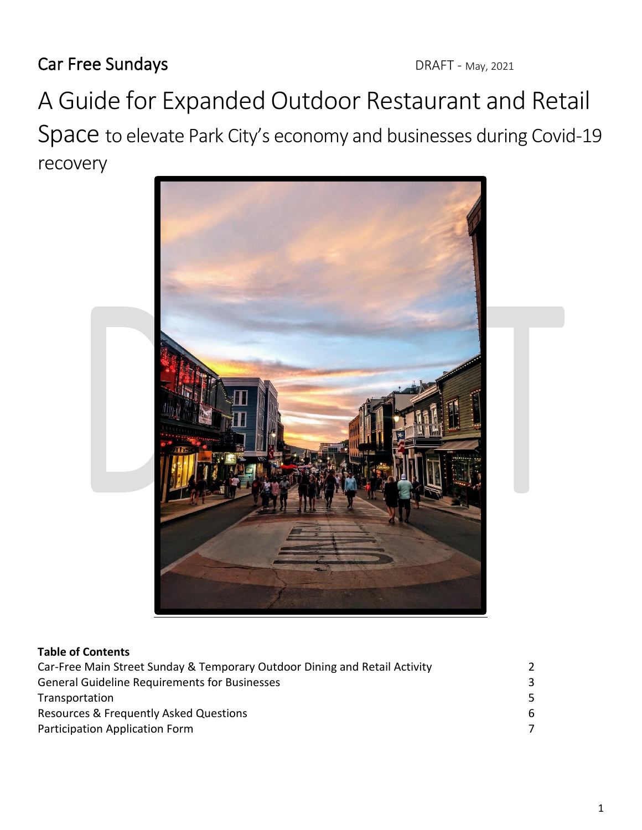Car Free Sundays DRAFT - May, 2021

A Guide for Expanded Outdoor Restaurant and Retail Space to elevate Park City's economy and businesses during Covid-19 recovery



#### **Table of Contents**

| Car-Free Main Street Sunday & Temporary Outdoor Dining and Retail Activity |    |
|----------------------------------------------------------------------------|----|
| <b>General Guideline Requirements for Businesses</b>                       |    |
| Transportation                                                             | 5. |
| Resources & Frequently Asked Questions                                     | 6. |
| Participation Application Form                                             |    |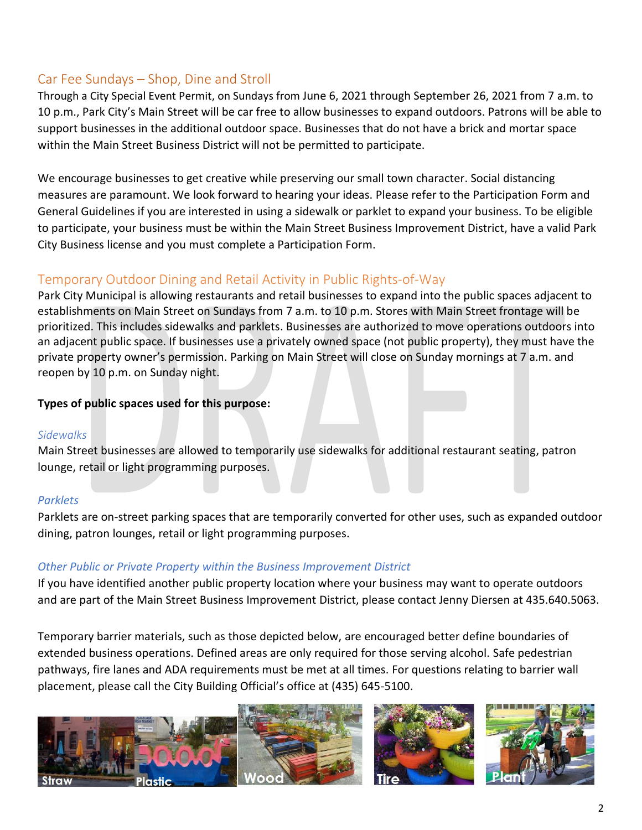# Car Fee Sundays – Shop, Dine and Stroll

Through a City Special Event Permit, on Sundays from June 6, 2021 through September 26, 2021 from 7 a.m. to 10 p.m., Park City's Main Street will be car free to allow businesses to expand outdoors. Patrons will be able to support businesses in the additional outdoor space. Businesses that do not have a brick and mortar space within the Main Street Business District will not be permitted to participate.

We encourage businesses to get creative while preserving our small town character. Social distancing measures are paramount. We look forward to hearing your ideas. Please refer to the Participation Form and General Guidelines if you are interested in using a sidewalk or parklet to expand your business. To be eligible to participate, your business must be within the Main Street Business Improvement District, have a valid Park City Business license and you must complete a Participation Form.

# Temporary Outdoor Dining and Retail Activity in Public Rights-of-Way

Park City Municipal is allowing restaurants and retail businesses to expand into the public spaces adjacent to establishments on Main Street on Sundays from 7 a.m. to 10 p.m. Stores with Main Street frontage will be prioritized. This includes sidewalks and parklets. Businesses are authorized to move operations outdoors into an adjacent public space. If businesses use a privately owned space (not public property), they must have the private property owner's permission. Parking on Main Street will close on Sunday mornings at 7 a.m. and reopen by 10 p.m. on Sunday night.

## **Types of public spaces used for this purpose:**

#### *Sidewalks*

Main Street businesses are allowed to temporarily use sidewalks for additional restaurant seating, patron lounge, retail or light programming purposes.

#### *Parklets*

Parklets are on-street parking spaces that are temporarily converted for other uses, such as expanded outdoor dining, patron lounges, retail or light programming purposes.

## *Other Public or Private Property within the Business Improvement District*

If you have identified another public property location where your business may want to operate outdoors and are part of the Main Street Business Improvement District, please contact Jenny Diersen at 435.640.5063.

Temporary barrier materials, such as those depicted below, are encouraged better define boundaries of extended business operations. Defined areas are only required for those serving alcohol. Safe pedestrian pathways, fire lanes and ADA requirements must be met at all times. For questions relating to barrier wall placement, please call the City Building Official's office at (435) 645-5100.

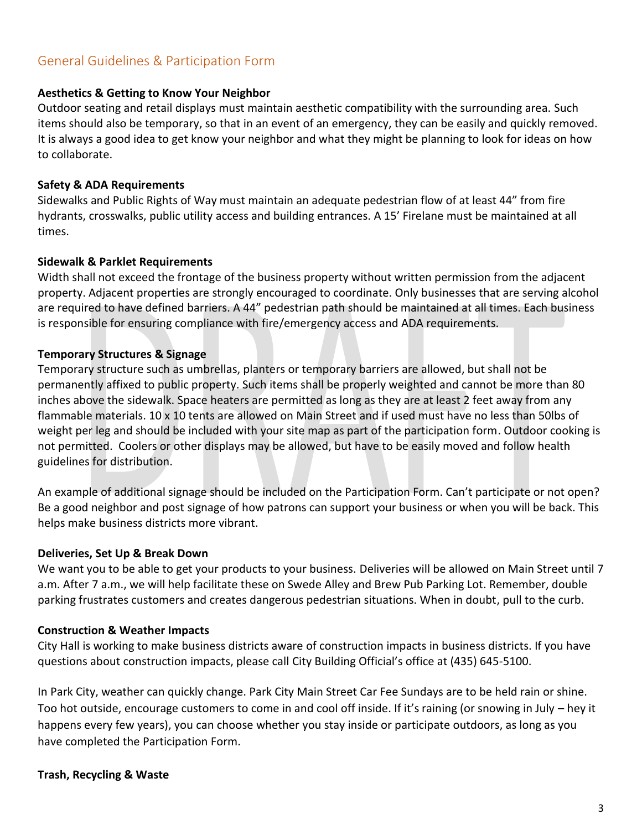# General Guidelines & Participation Form

#### **Aesthetics & Getting to Know Your Neighbor**

Outdoor seating and retail displays must maintain aesthetic compatibility with the surrounding area. Such items should also be temporary, so that in an event of an emergency, they can be easily and quickly removed. It is always a good idea to get know your neighbor and what they might be planning to look for ideas on how to collaborate.

#### **Safety & ADA Requirements**

Sidewalks and Public Rights of Way must maintain an adequate pedestrian flow of at least 44" from fire hydrants, crosswalks, public utility access and building entrances. A 15' Firelane must be maintained at all times.

#### **Sidewalk & Parklet Requirements**

Width shall not exceed the frontage of the business property without written permission from the adjacent property. Adjacent properties are strongly encouraged to coordinate. Only businesses that are serving alcohol are required to have defined barriers. A 44" pedestrian path should be maintained at all times. Each business is responsible for ensuring compliance with fire/emergency access and ADA requirements.

#### **Temporary Structures & Signage**

Temporary structure such as umbrellas, planters or temporary barriers are allowed, but shall not be permanently affixed to public property. Such items shall be properly weighted and cannot be more than 80 inches above the sidewalk. Space heaters are permitted as long as they are at least 2 feet away from any flammable materials. 10 x 10 tents are allowed on Main Street and if used must have no less than 50lbs of weight per leg and should be included with your site map as part of the participation form. Outdoor cooking is not permitted. Coolers or other displays may be allowed, but have to be easily moved and follow health guidelines for distribution.

An example of additional signage should be included on the Participation Form. Can't participate or not open? Be a good neighbor and post signage of how patrons can support your business or when you will be back. This helps make business districts more vibrant.

#### **Deliveries, Set Up & Break Down**

We want you to be able to get your products to your business. Deliveries will be allowed on Main Street until 7 a.m. After 7 a.m., we will help facilitate these on Swede Alley and Brew Pub Parking Lot. Remember, double parking frustrates customers and creates dangerous pedestrian situations. When in doubt, pull to the curb.

#### **Construction & Weather Impacts**

City Hall is working to make business districts aware of construction impacts in business districts. If you have questions about construction impacts, please call City Building Official's office at (435) 645-5100.

In Park City, weather can quickly change. Park City Main Street Car Fee Sundays are to be held rain or shine. Too hot outside, encourage customers to come in and cool off inside. If it's raining (or snowing in July – hey it happens every few years), you can choose whether you stay inside or participate outdoors, as long as you have completed the Participation Form.

#### **Trash, Recycling & Waste**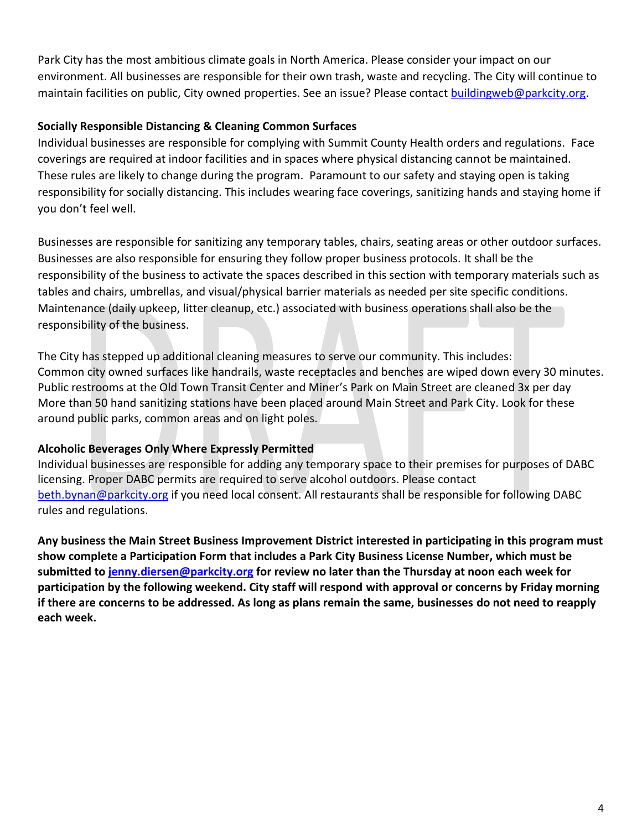Park City has the most ambitious climate goals in North America. Please consider your impact on our environment. All businesses are responsible for their own trash, waste and recycling. The City will continue to maintain facilities on public, City owned properties. See an issue? Please contact [buildingweb@parkcity.org.](mailto:buildingweb@parkcity.org)

## **Socially Responsible Distancing & Cleaning Common Surfaces**

Individual businesses are responsible for complying with Summit County Health orders and regulations. Face coverings are required at indoor facilities and in spaces where physical distancing cannot be maintained. These rules are likely to change during the program. Paramount to our safety and staying open is taking responsibility for socially distancing. This includes wearing face coverings, sanitizing hands and staying home if you don't feel well.

Businesses are responsible for sanitizing any temporary tables, chairs, seating areas or other outdoor surfaces. Businesses are also responsible for ensuring they follow proper business protocols. It shall be the responsibility of the business to activate the spaces described in this section with temporary materials such as tables and chairs, umbrellas, and visual/physical barrier materials as needed per site specific conditions. Maintenance (daily upkeep, litter cleanup, etc.) associated with business operations shall also be the responsibility of the business.

The City has stepped up additional cleaning measures to serve our community. This includes: Common city owned surfaces like handrails, waste receptacles and benches are wiped down every 30 minutes. Public restrooms at the Old Town Transit Center and Miner's Park on Main Street are cleaned 3x per day More than 50 hand sanitizing stations have been placed around Main Street and Park City. Look for these around public parks, common areas and on light poles.

## **Alcoholic Beverages Only Where Expressly Permitted**

Individual businesses are responsible for adding any temporary space to their premises for purposes of DABC licensing. Proper DABC permits are required to serve alcohol outdoors. Please contact [beth.bynan@parkcity.org](mailto:beth.bynan@parkcity.org) if you need local consent. All restaurants shall be responsible for following DABC rules and regulations.

**Any business the Main Street Business Improvement District interested in participating in this program must show complete a Participation Form that includes a Park City Business License Number, which must be submitted to [jenny.diersen@parkcity.org](mailto:jenny.diersen@parkcity.org) for review no later than the Thursday at noon each week for participation by the following weekend. City staff will respond with approval or concerns by Friday morning if there are concerns to be addressed. As long as plans remain the same, businesses do not need to reapply each week.**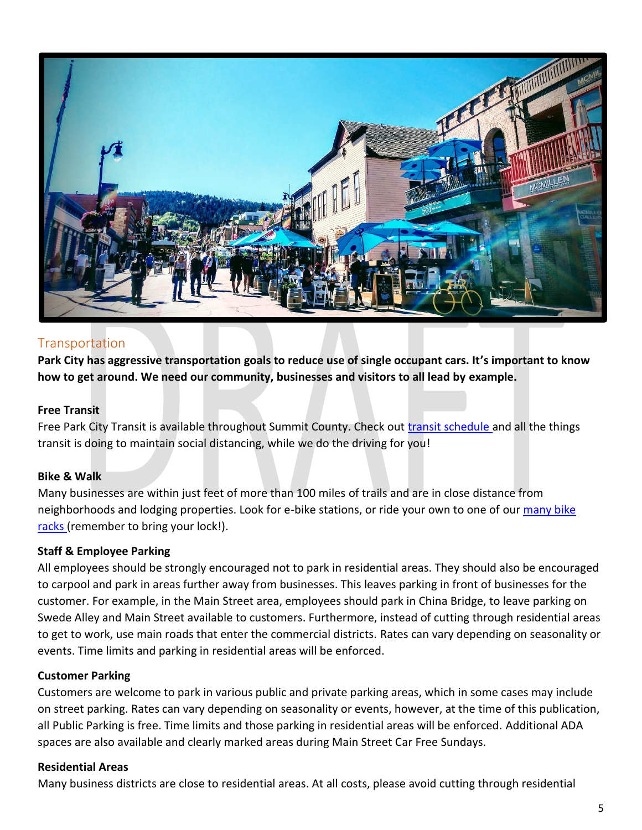

## **Transportation**

**Park City has aggressive transportation goals to reduce use of single occupant cars. It's important to know how to get around. We need our community, businesses and visitors to all lead by example.**

#### **Free Transit**

Free Park City Transit is available throughout Summit County. Check out [transit schedule](https://www.parkcity.org/departments/transit-bus/routes-schedules/-fsiteid-1) and all the things transit is doing to maintain social distancing, while we do the driving for you!

#### **Bike & Walk**

Many businesses are within just feet of more than 100 miles of trails and are in close distance from neighborhoods and lodging properties. Look for e-bike stations, or ride your own to one of our many bike [racks \(](https://parkcity.maps.arcgis.com/home/webmap/viewer.html?webmap=e9a354e9730d4a44a3527c96ad9c8cfd)remember to bring your lock!).

#### **Staff & Employee Parking**

All employees should be strongly encouraged not to park in residential areas. They should also be encouraged to carpool and park in areas further away from businesses. This leaves parking in front of businesses for the customer. For example, in the Main Street area, employees should park in China Bridge, to leave parking on Swede Alley and Main Street available to customers. Furthermore, instead of cutting through residential areas to get to work, use main roads that enter the commercial districts. Rates can vary depending on seasonality or events. Time limits and parking in residential areas will be enforced.

#### **Customer Parking**

Customers are welcome to park in various public and private parking areas, which in some cases may include on street parking. Rates can vary depending on seasonality or events, however, at the time of this publication, all Public Parking is free. Time limits and those parking in residential areas will be enforced. Additional ADA spaces are also available and clearly marked areas during Main Street Car Free Sundays.

#### **Residential Areas**

Many business districts are close to residential areas. At all costs, please avoid cutting through residential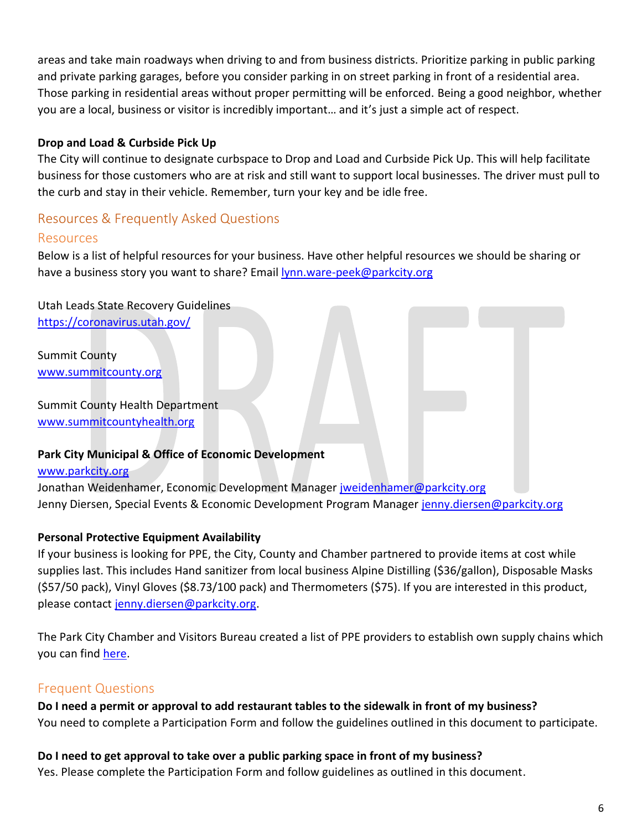areas and take main roadways when driving to and from business districts. Prioritize parking in public parking and private parking garages, before you consider parking in on street parking in front of a residential area. Those parking in residential areas without proper permitting will be enforced. Being a good neighbor, whether you are a local, business or visitor is incredibly important… and it's just a simple act of respect.

## **Drop and Load & Curbside Pick Up**

The City will continue to designate curbspace to Drop and Load and Curbside Pick Up. This will help facilitate business for those customers who are at risk and still want to support local businesses. The driver must pull to the curb and stay in their vehicle. Remember, turn your key and be idle free.

# Resources & Frequently Asked Questions

## Resources

Below is a list of helpful resources for your business. Have other helpful resources we should be sharing or have a business story you want to share? Email [lynn.ware-peek@parkcity.org](mailto:lynn.ware-peek@parkcity.org)

Utah Leads State Recovery Guidelines <https://coronavirus.utah.gov/>

Summit County [www.summitcounty.org](http://www.summitcounty.org/)

Summit County Health Department [www.summitcountyhealth.org](http://www.summitcountyhealth.org/)

## **Park City Municipal & Office of Economic Development**

#### [www.parkcity.org](http://www.parkcity.org/)

Jonathan Weidenhamer, Economic Development Manager [jweidenhamer@parkcity.org](mailto:jweidenhamer@parkcity.org) Jenny Diersen, Special Events & Economic Development Program Manager [jenny.diersen@parkcity.org](mailto:jenny.diersen@parkcity.org)

## **Personal Protective Equipment Availability**

If your business is looking for PPE, the City, County and Chamber partnered to provide items at cost while supplies last. This includes Hand sanitizer from local business Alpine Distilling (\$36/gallon), Disposable Masks (\$57/50 pack), Vinyl Gloves (\$8.73/100 pack) and Thermometers (\$75). If you are interested in this product, please contact [jenny.diersen@parkcity.org.](mailto:jenny.diersen@parkcity.org)

The Park City Chamber and Visitors Bureau created a list of PPE providers to establish own supply chains which you can find [here.](https://www.parkcity.org/Home/ShowDocument?id=67558)

## Frequent Questions

**Do I need a permit or approval to add restaurant tables to the sidewalk in front of my business?**  You need to complete a Participation Form and follow the guidelines outlined in this document to participate.

**Do I need to get approval to take over a public parking space in front of my business?** 

Yes. Please complete the Participation Form and follow guidelines as outlined in this document.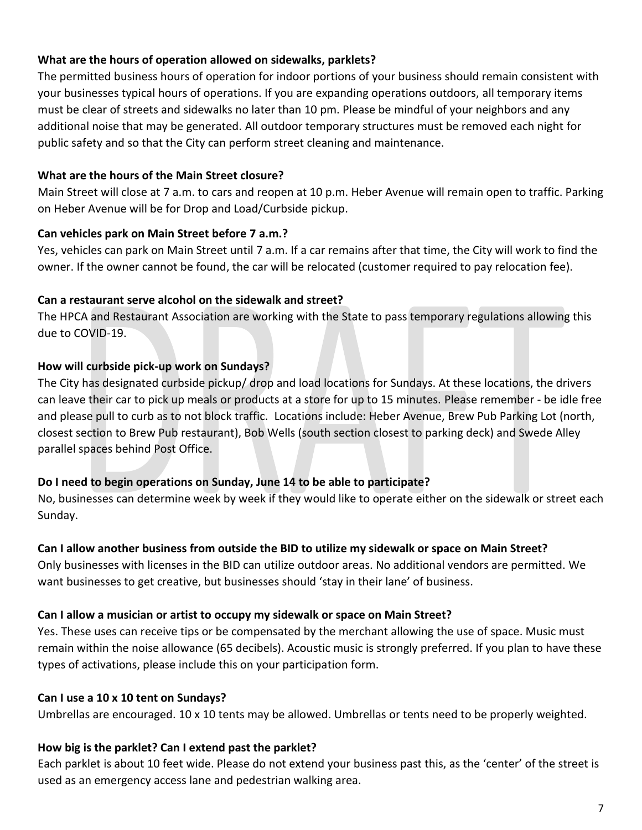## **What are the hours of operation allowed on sidewalks, parklets?**

The permitted business hours of operation for indoor portions of your business should remain consistent with your businesses typical hours of operations. If you are expanding operations outdoors, all temporary items must be clear of streets and sidewalks no later than 10 pm. Please be mindful of your neighbors and any additional noise that may be generated. All outdoor temporary structures must be removed each night for public safety and so that the City can perform street cleaning and maintenance.

## **What are the hours of the Main Street closure?**

Main Street will close at 7 a.m. to cars and reopen at 10 p.m. Heber Avenue will remain open to traffic. Parking on Heber Avenue will be for Drop and Load/Curbside pickup.

## **Can vehicles park on Main Street before 7 a.m.?**

Yes, vehicles can park on Main Street until 7 a.m. If a car remains after that time, the City will work to find the owner. If the owner cannot be found, the car will be relocated (customer required to pay relocation fee).

## **Can a restaurant serve alcohol on the sidewalk and street?**

The HPCA and Restaurant Association are working with the State to pass temporary regulations allowing this due to COVID-19.

## **How will curbside pick-up work on Sundays?**

The City has designated curbside pickup/ drop and load locations for Sundays. At these locations, the drivers can leave their car to pick up meals or products at a store for up to 15 minutes. Please remember - be idle free and please pull to curb as to not block traffic. Locations include: Heber Avenue, Brew Pub Parking Lot (north, closest section to Brew Pub restaurant), Bob Wells (south section closest to parking deck) and Swede Alley parallel spaces behind Post Office.

## **Do I need to begin operations on Sunday, June 14 to be able to participate?**

No, businesses can determine week by week if they would like to operate either on the sidewalk or street each Sunday.

## **Can I allow another business from outside the BID to utilize my sidewalk or space on Main Street?**

Only businesses with licenses in the BID can utilize outdoor areas. No additional vendors are permitted. We want businesses to get creative, but businesses should 'stay in their lane' of business.

## **Can I allow a musician or artist to occupy my sidewalk or space on Main Street?**

Yes. These uses can receive tips or be compensated by the merchant allowing the use of space. Music must remain within the noise allowance (65 decibels). Acoustic music is strongly preferred. If you plan to have these types of activations, please include this on your participation form.

## **Can I use a 10 x 10 tent on Sundays?**

Umbrellas are encouraged. 10 x 10 tents may be allowed. Umbrellas or tents need to be properly weighted.

## **How big is the parklet? Can I extend past the parklet?**

Each parklet is about 10 feet wide. Please do not extend your business past this, as the 'center' of the street is used as an emergency access lane and pedestrian walking area.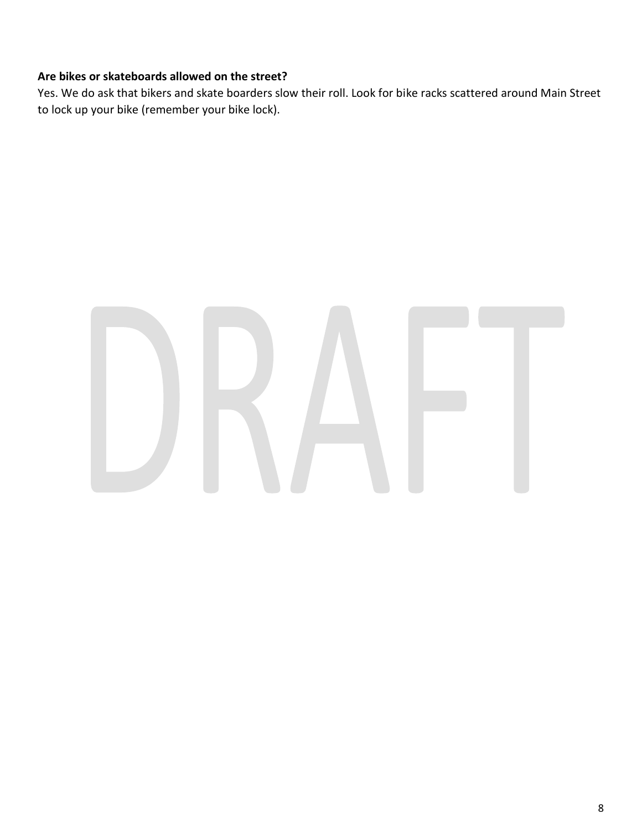# **Are bikes or skateboards allowed on the street?**

Yes. We do ask that bikers and skate boarders slow their roll. Look for bike racks scattered around Main Street to lock up your bike (remember your bike lock).

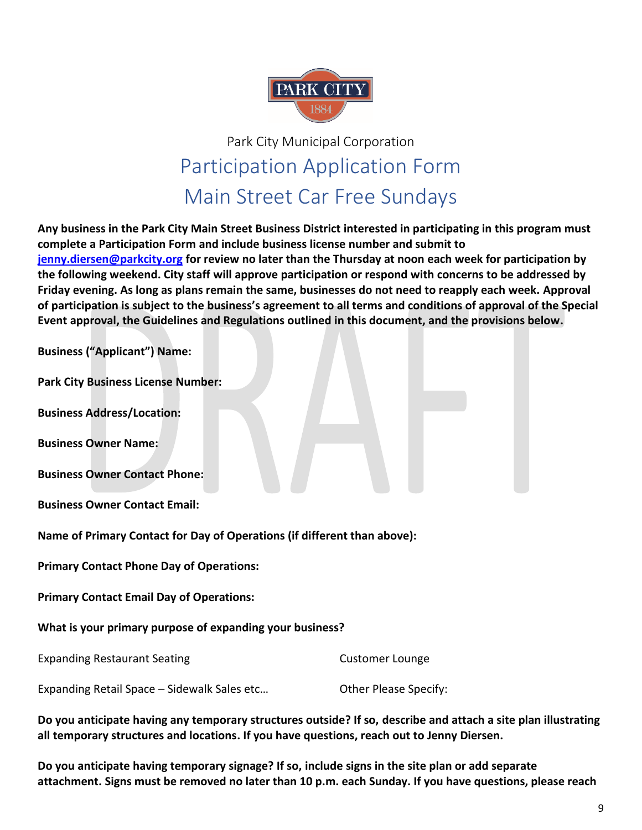

# Park City Municipal Corporation Participation Application Form Main Street Car Free Sundays

**Any business in the Park City Main Street Business District interested in participating in this program must complete a Participation Form and include business license number and submit to [jenny.diersen@parkcity.org](mailto:jenny.diersen@parkcity.org) for review no later than the Thursday at noon each week for participation by the following weekend. City staff will approve participation or respond with concerns to be addressed by Friday evening. As long as plans remain the same, businesses do not need to reapply each week. Approval of participation is subject to the business's agreement to all terms and conditions of approval of the Special Event approval, the Guidelines and Regulations outlined in this document, and the provisions below.**

**Business ("Applicant") Name:**

**Park City Business License Number:**

**Business Address/Location:**

**Business Owner Name:** 

**Business Owner Contact Phone:**

**Business Owner Contact Email:**

**Name of Primary Contact for Day of Operations (if different than above):** 

**Primary Contact Phone Day of Operations:**

**Primary Contact Email Day of Operations:**

**What is your primary purpose of expanding your business?**

Expanding Restaurant Seating Customer Lounge

Expanding Retail Space – Sidewalk Sales etc… Other Please Specify:

**Do you anticipate having any temporary structures outside? If so, describe and attach a site plan illustrating all temporary structures and locations. If you have questions, reach out to Jenny Diersen.**

**Do you anticipate having temporary signage? If so, include signs in the site plan or add separate attachment. Signs must be removed no later than 10 p.m. each Sunday. If you have questions, please reach**